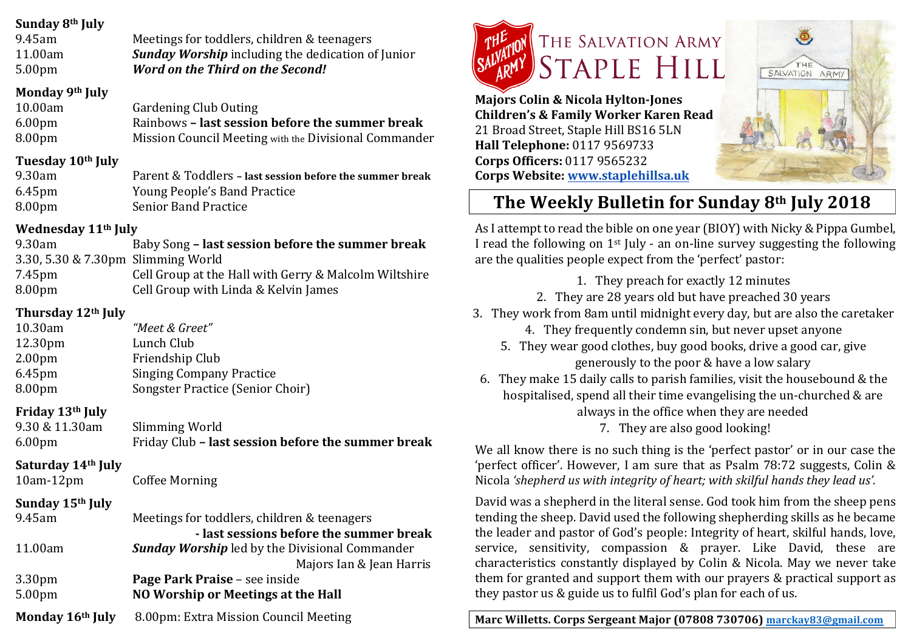#### **Sunday 8th July**

| 9.45am             | Meetings for toddlers, children & teenagers              |
|--------------------|----------------------------------------------------------|
| 11.00am            | <b>Sunday Worship</b> including the dedication of Junior |
| 5.00 <sub>pm</sub> | <b>Word on the Third on the Second!</b>                  |

#### **Monday 9th July**

| 10.00am            | <b>Gardening Club Outing</b>                          |
|--------------------|-------------------------------------------------------|
| 6.00 <sub>pm</sub> | Rainbows - last session before the summer break       |
| 8.00pm             | Mission Council Meeting with the Divisional Commander |

#### **Tuesday 10th July**

| 9.30am             | Parent & Toddlers - last session before the summer break |
|--------------------|----------------------------------------------------------|
| 6.45 <sub>pm</sub> | Young People's Band Practice                             |
| 8.00 <sub>pm</sub> | <b>Senior Band Practice</b>                              |

#### **Wednesday 11th July**

| 9.30am                             | Baby Song - last session before the summer break      |
|------------------------------------|-------------------------------------------------------|
| 3.30, 5.30 & 7.30pm Slimming World |                                                       |
| 7.45pm                             | Cell Group at the Hall with Gerry & Malcolm Wiltshire |
| 8.00 <sub>pm</sub>                 | Cell Group with Linda & Kelvin James                  |

### **Thursday 12th July**

| 10.30am            | "Meet & Greet"                   |
|--------------------|----------------------------------|
| 12.30pm            | Lunch Club                       |
| 2.00 <sub>pm</sub> | Friendship Club                  |
| 6.45 <sub>pm</sub> | <b>Singing Company Practice</b>  |
| 8.00 <sub>pm</sub> | Songster Practice (Senior Choir) |

## **Friday 13th July**

| 9.30 & 11.30am     | Slimming World                                     |
|--------------------|----------------------------------------------------|
| 6.00 <sub>pm</sub> | Friday Club - last session before the summer break |

#### **Saturday 14th July**

10am-12pm Coffee Morning

## **Sunday 15th July**

| 9.45am                                   | Meetings for toddlers, children & teenagers                                                      |
|------------------------------------------|--------------------------------------------------------------------------------------------------|
| 11.00am                                  | - last sessions before the summer break<br><b>Sunday Worship</b> led by the Divisional Commander |
|                                          | Majors Ian & Jean Harris                                                                         |
| 3.30 <sub>pm</sub><br>5.00 <sub>pm</sub> | Page Park Praise - see inside<br>NO Worship or Meetings at the Hall                              |
| Monday 16th July                         | 8.00pm: Extra Mission Council Meeting                                                            |



**Majors Colin & Nicola Hylton-Jones Children's & Family Worker Karen Read** 21 Broad Street, Staple Hill BS16 5LN **Hall Telephone:** 0117 9569733 **Corps Officers:** 0117 9565232 **Corps Website: www.staplehillsa.uk**



# **The Weekly Bulletin for Sunday 8th July 2018**

As I attempt to read the bible on one year (BIOY) with Nicky & Pippa Gumbel, I read the following on  $1^{st}$  July - an on-line survey suggesting the following are the qualities people expect from the 'perfect' pastor:

1. They preach for exactly 12 minutes

- 2. They are 28 years old but have preached 30 years
- 3. They work from 8am until midnight every day, but are also the caretaker
	- 4. They frequently condemn sin, but never upset anyone
	- 5. They wear good clothes, buy good books, drive a good car, give generously to the poor & have a low salary
- 6. They make 15 daily calls to parish families, visit the housebound  $&$  the hospitalised, spend all their time evangelising the un-churched & are always in the office when they are needed 7. They are also good looking!

We all know there is no such thing is the 'perfect pastor' or in our case the 'perfect officer'. However, I am sure that as Psalm 78:72 suggests, Colin & Nicola 'shepherd us with integrity of heart; with skilful hands they lead us'.

David was a shepherd in the literal sense. God took him from the sheep pens tending the sheep. David used the following shepherding skills as he became the leader and pastor of God's people: Integrity of heart, skilful hands, love, service, sensitivity, compassion & prayer. Like David, these are characteristics constantly displayed by Colin & Nicola. May we never take them for granted and support them with our prayers  $&$  practical support as they pastor us & guide us to fulfil God's plan for each of us.

**Marc Willetts. Corps Sergeant Major (07808 730706) marckay83@gmail.com**